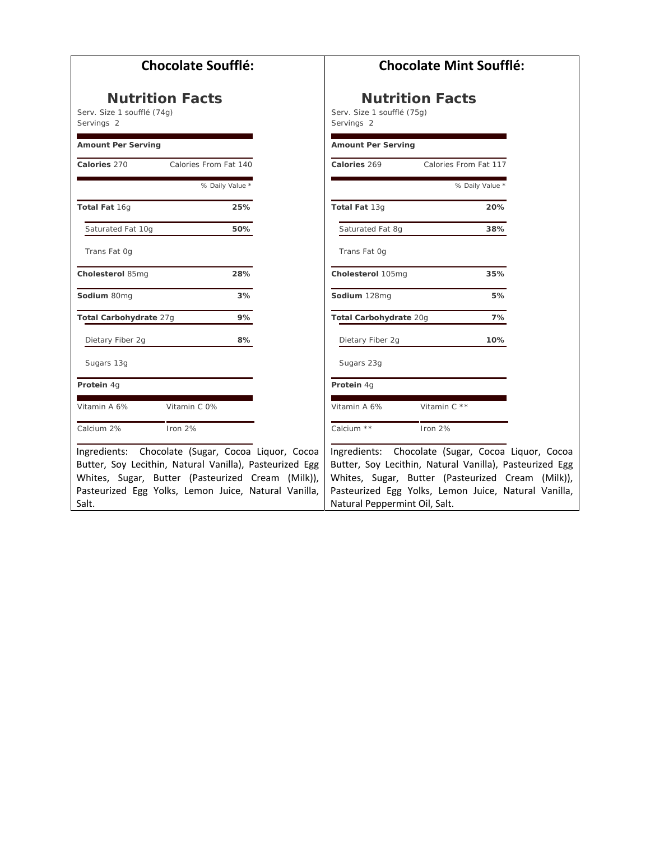| <b>Chocolate Soufflé:</b>                               | <b>Chocolate Mint Soufflé:</b>                          |  |
|---------------------------------------------------------|---------------------------------------------------------|--|
| <b>Nutrition Facts</b>                                  | <b>Nutrition Facts</b>                                  |  |
| Serv. Size 1 soufflé (74g)                              | Serv. Size 1 soufflé (75q)                              |  |
| Servings 2                                              | Servings 2                                              |  |
| <b>Amount Per Serving</b>                               | <b>Amount Per Serving</b>                               |  |
| Calories 270                                            | Calories 269                                            |  |
| Calories From Fat 140                                   | Calories From Fat 117                                   |  |
| % Daily Value *                                         | % Daily Value *                                         |  |
| Total Fat 16g                                           | Total Fat 13g                                           |  |
| 25%                                                     | 20%                                                     |  |
| 50%                                                     | Saturated Fat 8g                                        |  |
| Saturated Fat 10g                                       | 38%                                                     |  |
| Trans Fat Og                                            | Trans Fat Og                                            |  |
| 28%                                                     | 35%                                                     |  |
| Cholesterol 85mg                                        | Cholesterol 105mg                                       |  |
| 3%                                                      | 5%                                                      |  |
| Sodium 80mg                                             | Sodium 128mg                                            |  |
| Total Carbohydrate 27g                                  | Total Carbohydrate 20g                                  |  |
| 9%                                                      | 7%                                                      |  |
| Dietary Fiber 2g                                        | Dietary Fiber 2g                                        |  |
| 8%                                                      | 10%                                                     |  |
| Sugars 13g                                              | Sugars 23g                                              |  |
| Protein 4g                                              | Protein 4g                                              |  |
| Vitamin A 6%                                            | Vitamin C **                                            |  |
| Vitamin C 0%                                            | Vitamin A 6%                                            |  |
| Calcium 2%                                              | Calcium **                                              |  |
| Iron 2%                                                 | Iron 2%                                                 |  |
| Ingredients: Chocolate (Sugar, Cocoa Liquor, Cocoa      | Ingredients: Chocolate (Sugar, Cocoa Liquor, Cocoa      |  |
| Butter, Soy Lecithin, Natural Vanilla), Pasteurized Egg | Butter, Soy Lecithin, Natural Vanilla), Pasteurized Egg |  |
| Whites, Sugar, Butter (Pasteurized Cream (Milk)),       | Whites, Sugar, Butter (Pasteurized Cream (Milk)),       |  |
| Pasteurized Egg Yolks, Lemon Juice, Natural Vanilla,    | Pasteurized Egg Yolks, Lemon Juice, Natural Vanilla,    |  |
| Salt.                                                   | Natural Peppermint Oil, Salt.                           |  |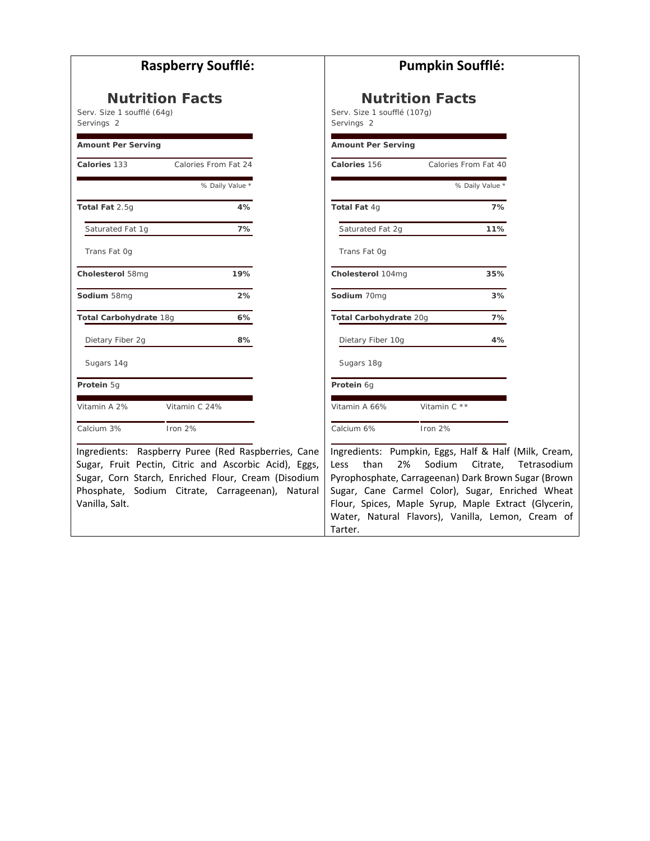| <b>Raspberry Soufflé:</b>                                                                                                                                                                                                                 | <b>Pumpkin Soufflé:</b>                                                                                                                                                                                                                                                                                                                             |  |
|-------------------------------------------------------------------------------------------------------------------------------------------------------------------------------------------------------------------------------------------|-----------------------------------------------------------------------------------------------------------------------------------------------------------------------------------------------------------------------------------------------------------------------------------------------------------------------------------------------------|--|
| <b>Nutrition Facts</b>                                                                                                                                                                                                                    | <b>Nutrition Facts</b>                                                                                                                                                                                                                                                                                                                              |  |
| Serv. Size 1 soufflé (64g)                                                                                                                                                                                                                | Serv. Size 1 soufflé (107q)                                                                                                                                                                                                                                                                                                                         |  |
| Servings 2                                                                                                                                                                                                                                | Servings 2                                                                                                                                                                                                                                                                                                                                          |  |
| <b>Amount Per Serving</b>                                                                                                                                                                                                                 | <b>Amount Per Serving</b>                                                                                                                                                                                                                                                                                                                           |  |
| Calories 133                                                                                                                                                                                                                              | Calories 156                                                                                                                                                                                                                                                                                                                                        |  |
| Calories From Fat 24                                                                                                                                                                                                                      | Calories From Fat 40                                                                                                                                                                                                                                                                                                                                |  |
| % Daily Value *                                                                                                                                                                                                                           | % Daily Value *                                                                                                                                                                                                                                                                                                                                     |  |
| Total Fat 2.5g                                                                                                                                                                                                                            | Total Fat 4g                                                                                                                                                                                                                                                                                                                                        |  |
| 4%                                                                                                                                                                                                                                        | 7%                                                                                                                                                                                                                                                                                                                                                  |  |
| 7%                                                                                                                                                                                                                                        | 11%                                                                                                                                                                                                                                                                                                                                                 |  |
| Saturated Fat 1g                                                                                                                                                                                                                          | Saturated Fat 2g                                                                                                                                                                                                                                                                                                                                    |  |
| Trans Fat Og                                                                                                                                                                                                                              | Trans Fat Og                                                                                                                                                                                                                                                                                                                                        |  |
| 19%                                                                                                                                                                                                                                       | Cholesterol 104mg                                                                                                                                                                                                                                                                                                                                   |  |
| Cholesterol 58mg                                                                                                                                                                                                                          | 35%                                                                                                                                                                                                                                                                                                                                                 |  |
| Sodium 58mg                                                                                                                                                                                                                               | Sodium 70mg                                                                                                                                                                                                                                                                                                                                         |  |
| 2%                                                                                                                                                                                                                                        | 3%                                                                                                                                                                                                                                                                                                                                                  |  |
| Total Carbohydrate 18g                                                                                                                                                                                                                    | Total Carbohydrate 20g                                                                                                                                                                                                                                                                                                                              |  |
| 6%                                                                                                                                                                                                                                        | 7%                                                                                                                                                                                                                                                                                                                                                  |  |
| 8%                                                                                                                                                                                                                                        | Dietary Fiber 10g                                                                                                                                                                                                                                                                                                                                   |  |
| Dietary Fiber 2g                                                                                                                                                                                                                          | 4%                                                                                                                                                                                                                                                                                                                                                  |  |
| Sugars 14g                                                                                                                                                                                                                                | Sugars 18g                                                                                                                                                                                                                                                                                                                                          |  |
| Protein 5g                                                                                                                                                                                                                                | Protein 6g                                                                                                                                                                                                                                                                                                                                          |  |
| Vitamin A 2%                                                                                                                                                                                                                              | Vitamin C **                                                                                                                                                                                                                                                                                                                                        |  |
| Vitamin C 24%                                                                                                                                                                                                                             | Vitamin A 66%                                                                                                                                                                                                                                                                                                                                       |  |
| Calcium 3%                                                                                                                                                                                                                                | Calcium 6%                                                                                                                                                                                                                                                                                                                                          |  |
| Iron 2%                                                                                                                                                                                                                                   | Iron 2%                                                                                                                                                                                                                                                                                                                                             |  |
| Ingredients: Raspberry Puree (Red Raspberries, Cane<br>Sugar, Fruit Pectin, Citric and Ascorbic Acid), Eggs,<br>Sugar, Corn Starch, Enriched Flour, Cream (Disodium<br>Phosphate, Sodium Citrate, Carrageenan), Natural<br>Vanilla, Salt. | Ingredients: Pumpkin, Eggs, Half & Half (Milk, Cream,<br>than<br>2%<br>Sodium<br>Tetrasodium<br>Less<br>Citrate.<br>Pyrophosphate, Carrageenan) Dark Brown Sugar (Brown<br>Sugar, Cane Carmel Color), Sugar, Enriched Wheat<br>Flour, Spices, Maple Syrup, Maple Extract (Glycerin,<br>Water, Natural Flavors), Vanilla, Lemon, Cream of<br>Tarter. |  |